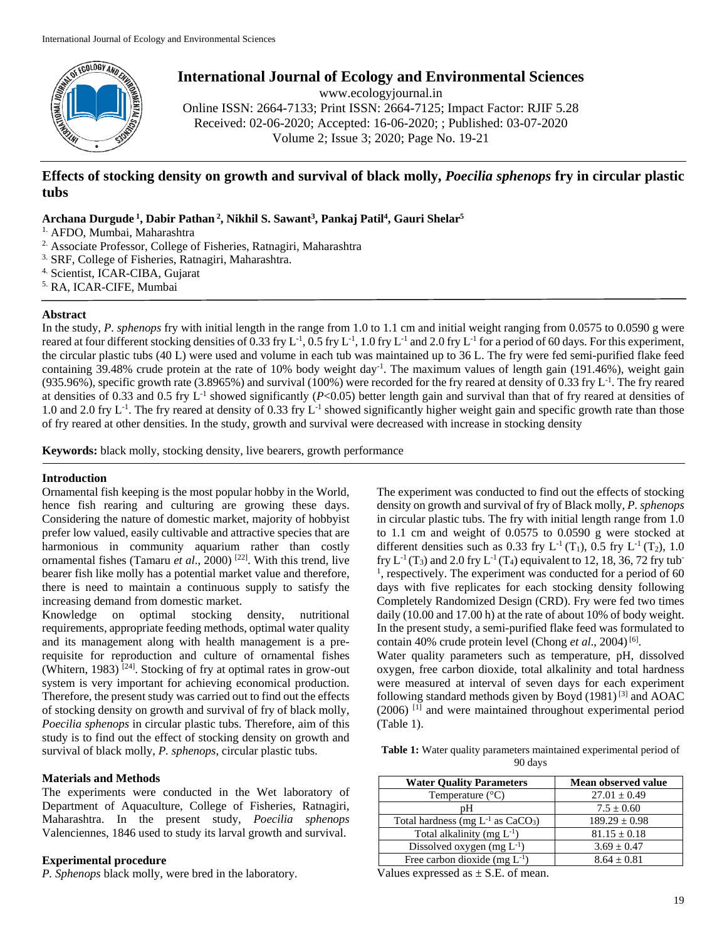

**International Journal of Ecology and Environmental Sciences**

www.ecologyjournal.in

Online ISSN: 2664-7133; Print ISSN: 2664-7125; Impact Factor: RJIF 5.28 Received: 02-06-2020; Accepted: 16-06-2020; ; Published: 03-07-2020 Volume 2; Issue 3; 2020; Page No. 19-21

# **Effects of stocking density on growth and survival of black molly,** *Poecilia sphenops* **fry in circular plastic tubs**

**Archana Durgude <sup>1</sup> , Dabir Pathan <sup>2</sup> , Nikhil S. Sawant3 , Pankaj Patil4 , Gauri Shelar5**

1. AFDO, Mumbai, Maharashtra

- 2. Associate Professor, College of Fisheries, Ratnagiri, Maharashtra
- <sup>3.</sup> SRF, College of Fisheries, Ratnagiri, Maharashtra.
- 4. Scientist, ICAR-CIBA, Gujarat
- 5. RA, ICAR-CIFE, Mumbai

# **Abstract**

In the study, *P. sphenops* fry with initial length in the range from 1.0 to 1.1 cm and initial weight ranging from 0.0575 to 0.0590 g were reared at four different stocking densities of 0.33 fry  $L^{-1}$ , 0.5 fry  $L^{-1}$ , 1.0 fry  $L^{-1}$  and 2.0 fry  $L^{-1}$  for a period of 60 days. For this experiment, the circular plastic tubs (40 L) were used and volume in each tub was maintained up to 36 L. The fry were fed semi-purified flake feed containing 39.48% crude protein at the rate of 10% body weight day<sup>-1</sup>. The maximum values of length gain (191.46%), weight gain (935.96%), specific growth rate  $(3.8965\%)$  and survival (100%) were recorded for the fry reared at density of 0.33 fry L<sup>-1</sup>. The fry reared at densities of 0.33 and 0.5 fry  $L^{-1}$  showed significantly ( $P<0.05$ ) better length gain and survival than that of fry reared at densities of 1.0 and 2.0 fry  $L^{-1}$ . The fry reared at density of 0.33 fry  $L^{-1}$  showed significantly higher weight gain and specific growth rate than those of fry reared at other densities. In the study, growth and survival were decreased with increase in stocking density

**Keywords:** black molly, stocking density, live bearers, growth performance

# **Introduction**

Ornamental fish keeping is the most popular hobby in the World, hence fish rearing and culturing are growing these days. Considering the nature of domestic market, majority of hobbyist prefer low valued, easily cultivable and attractive species that are harmonious in community aquarium rather than costly ornamental fishes (Tamaru *et al*., 2000) [22]. With this trend, live bearer fish like molly has a potential market value and therefore, there is need to maintain a continuous supply to satisfy the increasing demand from domestic market.

Knowledge on optimal stocking density, nutritional requirements, appropriate feeding methods, optimal water quality and its management along with health management is a prerequisite for reproduction and culture of ornamental fishes (Whitern, 1983)  $[24]$ . Stocking of fry at optimal rates in grow-out system is very important for achieving economical production. Therefore, the present study was carried out to find out the effects of stocking density on growth and survival of fry of black molly, *Poecilia sphenops* in circular plastic tubs. Therefore, aim of this study is to find out the effect of stocking density on growth and survival of black molly, *P. sphenops*, circular plastic tubs.

# **Materials and Methods**

The experiments were conducted in the Wet laboratory of Department of Aquaculture, College of Fisheries, Ratnagiri, Maharashtra. In the present study, *Poecilia sphenops*  Valenciennes, 1846 used to study its larval growth and survival.

# **Experimental procedure**

*P. Sphenops* black molly, were bred in the laboratory.

The experiment was conducted to find out the effects of stocking density on growth and survival of fry of Black molly, *P. sphenops*  in circular plastic tubs. The fry with initial length range from 1.0 to 1.1 cm and weight of 0.0575 to 0.0590 g were stocked at different densities such as 0.33 fry  $L^{-1}(T_1)$ , 0.5 fry  $L^{-1}(T_2)$ , 1.0 fry  $L^{-1}(T_3)$  and 2.0 fry  $L^{-1}(T_4)$  equivalent to 12, 18, 36, 72 fry tub-<sup>1</sup>, respectively. The experiment was conducted for a period of 60 days with five replicates for each stocking density following Completely Randomized Design (CRD). Fry were fed two times daily (10.00 and 17.00 h) at the rate of about 10% of body weight. In the present study, a semi-purified flake feed was formulated to contain 40% crude protein level (Chong *et al.*, 2004)<sup>[6]</sup>.

Water quality parameters such as temperature, pH, dissolved oxygen, free carbon dioxide, total alkalinity and total hardness were measured at interval of seven days for each experiment following standard methods given by Boyd  $(1981)^{[3]}$  and AOAC (2006) [1] and were maintained throughout experimental period (Table 1).

**Table 1:** Water quality parameters maintained experimental period of 90 days

| <b>Water Quality Parameters</b>          | Mean observed value |
|------------------------------------------|---------------------|
| Temperature $(^{\circ}C)$                | $27.01 \pm 0.49$    |
| рH                                       | $7.5 \pm 0.60$      |
| Total hardness (mg $L^{-1}$ as $CaCO3$ ) | $189.29 \pm 0.98$   |
| Total alkalinity (mg $L^{-1}$ )          | $81.15 \pm 0.18$    |
| Dissolved oxygen (mg $L^{-1}$ )          | $3.69 \pm 0.47$     |
| Free carbon dioxide (mg $L^{-1}$ )       | $8.64 + 0.81$       |

Values expressed as  $\pm$  S.E. of mean.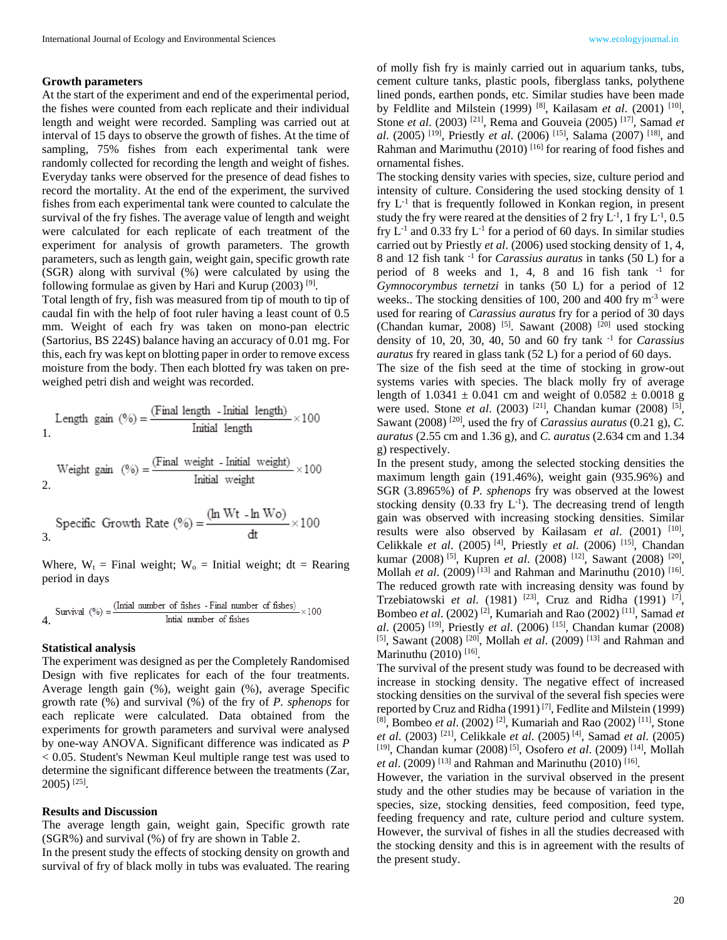#### **Growth parameters**

At the start of the experiment and end of the experimental period, the fishes were counted from each replicate and their individual length and weight were recorded. Sampling was carried out at interval of 15 days to observe the growth of fishes. At the time of sampling, 75% fishes from each experimental tank were randomly collected for recording the length and weight of fishes. Everyday tanks were observed for the presence of dead fishes to record the mortality. At the end of the experiment, the survived fishes from each experimental tank were counted to calculate the survival of the fry fishes. The average value of length and weight were calculated for each replicate of each treatment of the experiment for analysis of growth parameters. The growth parameters, such as length gain, weight gain, specific growth rate (SGR) along with survival (%) were calculated by using the following formulae as given by Hari and Kurup  $(2003)$ <sup>[9]</sup>.

Total length of fry, fish was measured from tip of mouth to tip of caudal fin with the help of foot ruler having a least count of 0.5 mm. Weight of each fry was taken on mono-pan electric (Sartorius, BS 224S) balance having an accuracy of 0.01 mg. For this, each fry was kept on blotting paper in order to remove excess moisture from the body. Then each blotted fry was taken on preweighed petri dish and weight was recorded.

Length gain 
$$
(\%) = \frac{\text{(Final length - Initial length)}}{\text{Initial length}} \times 100
$$

Weight gain 
$$
(\%) = \frac{\text{(Final weight - Initial weight)}}{\text{Initial weight}} \times 100
$$

$$
Specific Growth Rate (%) = \frac{(ln Wt - ln Wo)}{dt} \times 100
$$

Where,  $W_t$  = Final weight;  $W_0$  = Initial weight; dt = Rearing period in days

$$
Survival (%) = \frac{(Initial number of fishes - Final number of fishes)}{Initial number of fishes} \times 100
$$

#### **Statistical analysis**

The experiment was designed as per the Completely Randomised Design with five replicates for each of the four treatments. Average length gain (%), weight gain (%), average Specific growth rate (%) and survival (%) of the fry of *P. sphenops* for each replicate were calculated. Data obtained from the experiments for growth parameters and survival were analysed by one-way ANOVA. Significant difference was indicated as *P* < 0.05. Student's Newman Keul multiple range test was used to determine the significant difference between the treatments (Zar, 2005) [25].

#### **Results and Discussion**

The average length gain, weight gain, Specific growth rate (SGR%) and survival (%) of fry are shown in Table 2.

In the present study the effects of stocking density on growth and survival of fry of black molly in tubs was evaluated. The rearing of molly fish fry is mainly carried out in aquarium tanks, tubs, cement culture tanks, plastic pools, fiberglass tanks, polythene lined ponds, earthen ponds, etc. Similar studies have been made by Feldlite and Milstein (1999) [8], Kailasam *et al*. (2001) [10], Stone *et al*. (2003) [21], Rema and Gouveia (2005) [17], Samad *et al*. (2005) [19], Priestly *et al*. (2006) [15], Salama (2007) [18], and Rahman and Marimuthu  $(2010)$ <sup>[16]</sup> for rearing of food fishes and ornamental fishes.

The stocking density varies with species, size, culture period and intensity of culture. Considering the used stocking density of 1 fry  $L<sup>-1</sup>$  that is frequently followed in Konkan region, in present study the fry were reared at the densities of 2 fry  $L^{-1}$ , 1 fry  $L^{-1}$ , 0.5 fry  $L^{-1}$  and 0.33 fry  $L^{-1}$  for a period of 60 days. In similar studies carried out by Priestly *et al*. (2006) used stocking density of 1, 4, 8 and 12 fish tank -1 for *Carassius auratus* in tanks (50 L) for a period of 8 weeks and 1, 4, 8 and 16 fish tank  $^{-1}$  for *Gymnocorymbus ternetzi* in tanks (50 L) for a period of 12 weeks.. The stocking densities of 100, 200 and 400 fry m<sup>-3</sup> were used for rearing of *Carassius auratus* fry for a period of 30 days (Chandan kumar, 2008) <sup>[5]</sup>. Sawant (2008) <sup>[20]</sup> used stocking density of 10, 20, 30, 40, 50 and 60 fry tank -1 for *Carassius auratus* fry reared in glass tank (52 L) for a period of 60 days.

The size of the fish seed at the time of stocking in grow-out systems varies with species. The black molly fry of average length of  $1.0341 \pm 0.041$  cm and weight of  $0.0582 \pm 0.0018$  g were used. Stone *et al*. (2003) [21], Chandan kumar (2008) [5], Sawant (2008) [20], used the fry of *Carassius auratus* (0.21 g), *C. auratus* (2.55 cm and 1.36 g), and *C. auratus* (2.634 cm and 1.34 g) respectively.

In the present study, among the selected stocking densities the maximum length gain (191.46%), weight gain (935.96%) and SGR (3.8965%) of *P. sphenops* fry was observed at the lowest stocking density  $(0.33$  fry  $L^{-1}$ ). The decreasing trend of length gain was observed with increasing stocking densities. Similar results were also observed by Kailasam *et al.* (2001) <sup>[10]</sup>, Celikkale *et al*. (2005) [4], Priestly *et al*. (2006) [15], Chandan kumar (2008) [5], Kupren *et al*. (2008) [12], Sawant (2008) [20], Mollah *et al.* (2009)<sup>[13]</sup> and Rahman and Marinuthu (2010)<sup>[16]</sup>. The reduced growth rate with increasing density was found by Trzebiatowski *et al*. (1981) [23], Cruz and Ridha (1991) [7], Bombeo *et al*. (2002) [2], Kumariah and Rao (2002) [11], Samad *et al*. (2005) [19], Priestly *et al*. (2006) [15], Chandan kumar (2008) [5], Sawant (2008) [20], Mollah *et al*. (2009) [13] and Rahman and Marinuthu (2010)<sup>[16]</sup>.

The survival of the present study was found to be decreased with increase in stocking density. The negative effect of increased stocking densities on the survival of the several fish species were reported by Cruz and Ridha (1991)<sup>[7]</sup>, Fedlite and Milstein (1999) [8], Bombeo *et al*. (2002) [2], Kumariah and Rao (2002) [11], Stone *et al*. (2003) [21], Celikkale *et al*. (2005) [4], Samad *et al*. (2005) [19], Chandan kumar (2008) [5], Osofero *et al*. (2009) [14], Mollah *et al*. (2009) [13] and Rahman and Marinuthu (2010) [16].

However, the variation in the survival observed in the present study and the other studies may be because of variation in the species, size, stocking densities, feed composition, feed type, feeding frequency and rate, culture period and culture system. However, the survival of fishes in all the studies decreased with the stocking density and this is in agreement with the results of the present study.